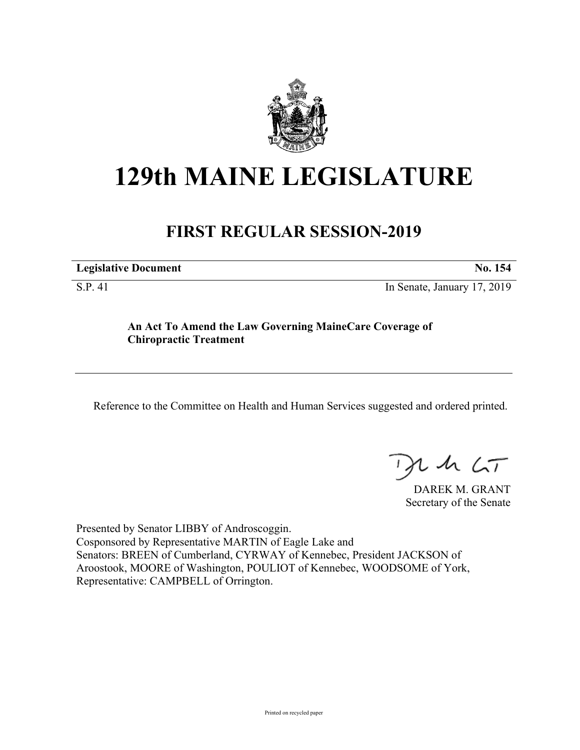

# **129th MAINE LEGISLATURE**

# **FIRST REGULAR SESSION-2019**

| <b>Legislative Document</b> |
|-----------------------------|
|-----------------------------|

S.P. 41 In Senate, January 17, 2019

## **An Act To Amend the Law Governing MaineCare Coverage of Chiropractic Treatment**

Reference to the Committee on Health and Human Services suggested and ordered printed.

 $425$ 

DAREK M. GRANT Secretary of the Senate

Presented by Senator LIBBY of Androscoggin. Cosponsored by Representative MARTIN of Eagle Lake and Senators: BREEN of Cumberland, CYRWAY of Kennebec, President JACKSON of Aroostook, MOORE of Washington, POULIOT of Kennebec, WOODSOME of York, Representative: CAMPBELL of Orrington.